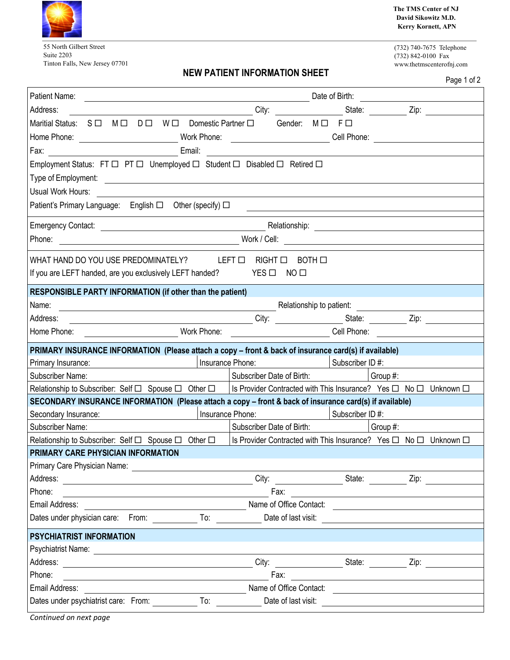

55 North Gilbert Street Suite 2203 Tinton Falls, New Jersey 07701 **The TMS Center of NJ David Sikowitz M.D. Kerry Kornett, APN**

(732) 740-7675 Telephone (732) 842-0100 Fax www.thetmscenterofnj.com

## **NEW PATIENT INFORMATION SHEET**

|                                                                                                                                                                                                                                               |                                                                  |                                                                                                                       | Page 1 of 2                                                                                                    |
|-----------------------------------------------------------------------------------------------------------------------------------------------------------------------------------------------------------------------------------------------|------------------------------------------------------------------|-----------------------------------------------------------------------------------------------------------------------|----------------------------------------------------------------------------------------------------------------|
| Patient Name:                                                                                                                                                                                                                                 |                                                                  | Date of Birth:                                                                                                        |                                                                                                                |
| Address:                                                                                                                                                                                                                                      | City:                                                            |                                                                                                                       | State: Zip:                                                                                                    |
| Maritial Status: $S \Box$ $M \Box$ $D \Box$ $W \Box$ Domestic Partner $\Box$                                                                                                                                                                  | Gender:<br>$M \Box$                                              | $F \Box$                                                                                                              |                                                                                                                |
| Work Phone:<br>Home Phone:                                                                                                                                                                                                                    |                                                                  | Cell Phone:                                                                                                           |                                                                                                                |
| Email:<br>Fax:                                                                                                                                                                                                                                |                                                                  |                                                                                                                       |                                                                                                                |
| Employment Status: FT $\Box$ PT $\Box$ Unemployed $\Box$ Student $\Box$ Disabled $\Box$ Retired $\Box$                                                                                                                                        |                                                                  |                                                                                                                       |                                                                                                                |
| Type of Employment:<br><u> 1980 - Jan Samuel Barbara, margaret e</u>                                                                                                                                                                          |                                                                  |                                                                                                                       |                                                                                                                |
| Usual Work Hours:                                                                                                                                                                                                                             |                                                                  |                                                                                                                       |                                                                                                                |
| Patient's Primary Language: English □ Other (specify) □                                                                                                                                                                                       |                                                                  |                                                                                                                       |                                                                                                                |
|                                                                                                                                                                                                                                               |                                                                  |                                                                                                                       |                                                                                                                |
| <b>Emergency Contact:</b><br><u> 1980 - Johann Barn, mars eta bainar eta baina eta baina eta baina eta baina eta baina eta baina eta baina e</u>                                                                                              | Relationship:                                                    | <u> 1989 - John Stein, mars and de Brandenberg and de Brandenberg and de Brandenberg and de Brandenberg and de Br</u> |                                                                                                                |
| Phone:                                                                                                                                                                                                                                        |                                                                  |                                                                                                                       |                                                                                                                |
| WHAT HAND DO YOU USE PREDOMINATELY?                                                                                                                                                                                                           | BOTH □<br>LEFT O<br>RIGHT <b>O</b>                               |                                                                                                                       |                                                                                                                |
| If you are LEFT handed, are you exclusively LEFT handed?                                                                                                                                                                                      | $YES$ $\square$<br>NO <sub>1</sub>                               |                                                                                                                       |                                                                                                                |
| RESPONSIBLE PARTY INFORMATION (if other than the patient)                                                                                                                                                                                     |                                                                  |                                                                                                                       |                                                                                                                |
| Name:<br><b>Example 2018 19 Additional Properties Control Control Control Control Control Control Control Control Control Control Control Control Control Control Control Control Control Control Control Control Control Control Control</b> |                                                                  |                                                                                                                       |                                                                                                                |
| City: City: City: City: City: State: City: City: City: City: City: City: City: City: City: City: City: City: City: City: City: City: City: City: City: City: City: City: City: City: City: City: City: City: City: City: City:<br>Address:    |                                                                  |                                                                                                                       |                                                                                                                |
| Work Phone:<br>Home Phone:                                                                                                                                                                                                                    | _______________________________Cell Phone: ________              |                                                                                                                       |                                                                                                                |
| PRIMARY INSURANCE INFORMATION (Please attach a copy – front & back of insurance card(s) if available)                                                                                                                                         |                                                                  |                                                                                                                       |                                                                                                                |
| Insurance Phone:<br>Primary Insurance:                                                                                                                                                                                                        |                                                                  | Subscriber ID#:                                                                                                       |                                                                                                                |
| <b>Subscriber Name:</b>                                                                                                                                                                                                                       | Subscriber Date of Birth:                                        | Group $#$ :                                                                                                           |                                                                                                                |
| Relationship to Subscriber: Self □ Spouse □ Other □   Is Provider Contracted with This Insurance? Yes □ No □ Unknown □                                                                                                                        |                                                                  |                                                                                                                       |                                                                                                                |
| SECONDARY INSURANCE INFORMATION (Please attach a copy - front & back of insurance card(s) if available)                                                                                                                                       |                                                                  |                                                                                                                       |                                                                                                                |
| Insurance Phone:<br>Secondary Insurance:                                                                                                                                                                                                      |                                                                  | Subscriber ID#:                                                                                                       |                                                                                                                |
| <b>Subscriber Name:</b>                                                                                                                                                                                                                       | Subscriber Date of Birth:                                        | Group #:                                                                                                              |                                                                                                                |
| Relationship to Subscriber: Self $\Box$ Spouse $\Box$ Other $\Box$                                                                                                                                                                            | Is Provider Contracted with This Insurance? Yes □ No □ Unknown □ |                                                                                                                       |                                                                                                                |
| PRIMARY CARE PHYSICIAN INFORMATION                                                                                                                                                                                                            |                                                                  |                                                                                                                       |                                                                                                                |
| Primary Care Physician Name:                                                                                                                                                                                                                  |                                                                  |                                                                                                                       |                                                                                                                |
|                                                                                                                                                                                                                                               |                                                                  |                                                                                                                       | Zip: The Solid State State State State State State State State State State State State State State State State |
| Phone:<br><u> 1989 - Johann Barnett, fransk politik (d. 1989)</u>                                                                                                                                                                             | Fax: Fax:                                                        |                                                                                                                       |                                                                                                                |
|                                                                                                                                                                                                                                               |                                                                  |                                                                                                                       |                                                                                                                |
|                                                                                                                                                                                                                                               |                                                                  |                                                                                                                       |                                                                                                                |
| <b>PSYCHIATRIST INFORMATION</b>                                                                                                                                                                                                               |                                                                  |                                                                                                                       |                                                                                                                |
|                                                                                                                                                                                                                                               |                                                                  |                                                                                                                       |                                                                                                                |
|                                                                                                                                                                                                                                               |                                                                  |                                                                                                                       |                                                                                                                |
| Phone:                                                                                                                                                                                                                                        |                                                                  |                                                                                                                       |                                                                                                                |
|                                                                                                                                                                                                                                               |                                                                  |                                                                                                                       |                                                                                                                |
| Dates under psychiatrist care: From: To: To: Date of last visit: 2000 Content of last visities and a content of the United States of last visities and the United States of last visities and the United States of the United                 |                                                                  |                                                                                                                       |                                                                                                                |
|                                                                                                                                                                                                                                               |                                                                  |                                                                                                                       |                                                                                                                |